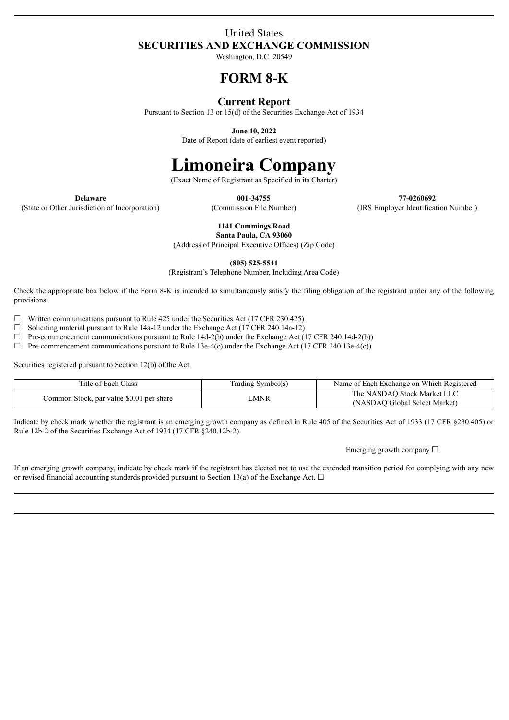# United States **SECURITIES AND EXCHANGE COMMISSION**

Washington, D.C. 20549

# **FORM 8-K**

# **Current Report**

Pursuant to Section 13 or 15(d) of the Securities Exchange Act of 1934

**June 10, 2022**

Date of Report (date of earliest event reported)

# **Limoneira Company**

(Exact Name of Registrant as Specified in its Charter)

(State or Other Jurisdiction of Incorporation) (Commission File Number) (IRS Employer Identification Number)

**Delaware 001-34755 77-0260692**

**1141 Cummings Road**

**Santa Paula, CA 93060** (Address of Principal Executive Offices) (Zip Code)

**(805) 525-5541**

(Registrant's Telephone Number, Including Area Code)

Check the appropriate box below if the Form 8-K is intended to simultaneously satisfy the filing obligation of the registrant under any of the following provisions:

 $\Box$  Written communications pursuant to Rule 425 under the Securities Act (17 CFR 230.425)

 $\Box$  Soliciting material pursuant to Rule 14a-12 under the Exchange Act (17 CFR 240.14a-12)

☐ Pre-commencement communications pursuant to Rule 14d-2(b) under the Exchange Act (17 CFR 240.14d-2(b))

 $\Box$  Pre-commencement communications pursuant to Rule 13e-4(c) under the Exchange Act (17 CFR 240.13e-4(c))

Securities registered pursuant to Section 12(b) of the Act:

| Title of Each Class                      | Trading Symbol(s) | Name of Each Exchange on Which Registered                    |
|------------------------------------------|-------------------|--------------------------------------------------------------|
| Common Stock, par value \$0.01 per share | .MNR              | The NASDAO Stock Market LLC<br>(NASDAO Global Select Market) |

Indicate by check mark whether the registrant is an emerging growth company as defined in Rule 405 of the Securities Act of 1933 (17 CFR §230.405) or Rule 12b-2 of the Securities Exchange Act of 1934 (17 CFR §240.12b-2).

Emerging growth company  $\Box$ 

If an emerging growth company, indicate by check mark if the registrant has elected not to use the extended transition period for complying with any new or revised financial accounting standards provided pursuant to Section 13(a) of the Exchange Act.  $\Box$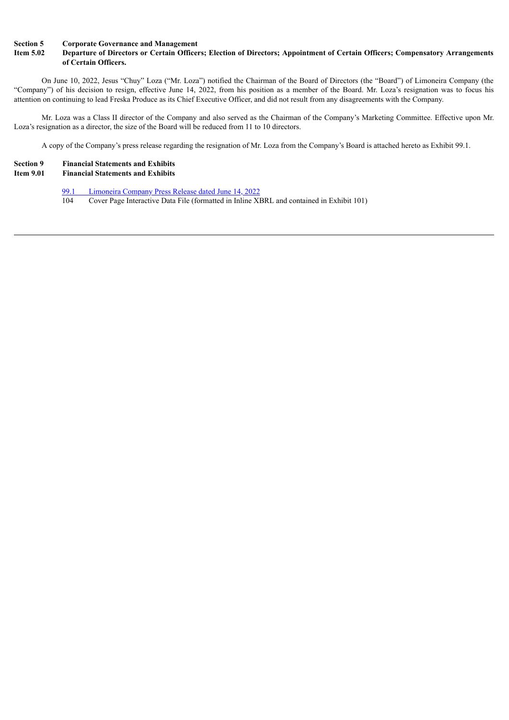#### **Section 5 Corporate Governance and Management**

## Item 5.02 Departure of Directors or Certain Officers; Election of Directors; Appointment of Certain Officers; Compensatory Arrangements **of Certain Officers.**

On June 10, 2022, Jesus "Chuy" Loza ("Mr. Loza") notified the Chairman of the Board of Directors (the "Board") of Limoneira Company (the "Company") of his decision to resign, effective June 14, 2022, from his position as a member of the Board. Mr. Loza's resignation was to focus his attention on continuing to lead Freska Produce as its Chief Executive Officer, and did not result from any disagreements with the Company.

Mr. Loza was a Class II director of the Company and also served as the Chairman of the Company's Marketing Committee. Effective upon Mr. Loza's resignation as a director, the size of the Board will be reduced from 11 to 10 directors.

A copy of the Company's press release regarding the resignation of Mr. Loza from the Company's Board is attached hereto as Exhibit 99.1.

# **Section 9 Financial Statements and Exhibits**

## **Ifter Financial Statements and Exhibits**

- 99.1 [Limoneira](#page-3-0) Company Press Release dated June 14, 2022
- Cover Page Interactive Data File (formatted in Inline XBRL and contained in Exhibit 101)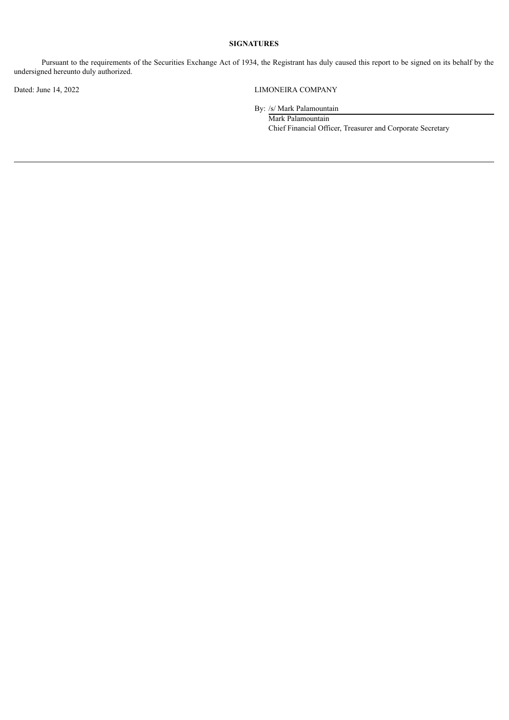## **SIGNATURES**

Pursuant to the requirements of the Securities Exchange Act of 1934, the Registrant has duly caused this report to be signed on its behalf by the undersigned hereunto duly authorized.

Dated: June 14, 2022 LIMONEIRA COMPANY

By: /s/ Mark Palamountain

Mark Palamountain Chief Financial Officer, Treasurer and Corporate Secretary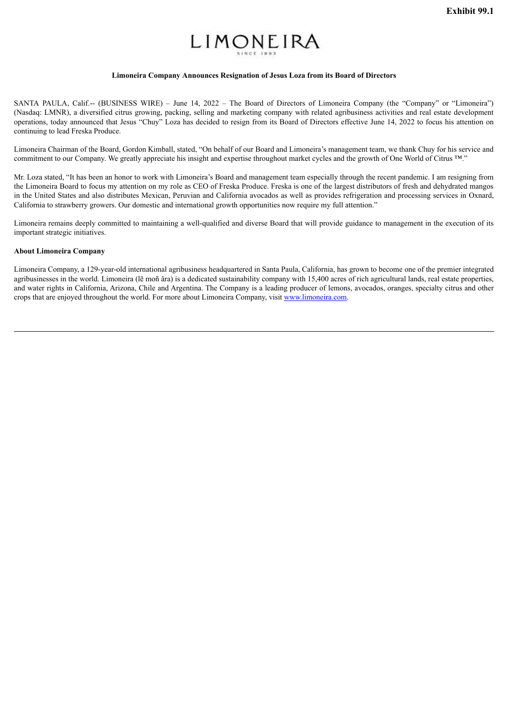# LIMONEIRA

## **Limoneira Company Announces Resignation of Jesus Loza from its Board of Directors**

<span id="page-3-0"></span>SANTA PAULA, Calif.-- (BUSINESS WIRE) – June 14, 2022 – The Board of Directors of Limoneira Company (the "Company" or "Limoneira") (Nasdaq: LMNR), a diversified citrus growing, packing, selling and marketing company with related agribusiness activities and real estate development operations, today announced that Jesus "Chuy" Loza has decided to resign from its Board of Directors effective June 14, 2022 to focus his attention on continuing to lead Freska Produce.

Limoneira Chairman of the Board, Gordon Kimball, stated, "On behalf of our Board and Limoneira's management team, we thank Chuy for his service and commitment to our Company. We greatly appreciate his insight and expertise throughout market cycles and the growth of One World of Citrus ™."

Mr. Loza stated, "It has been an honor to work with Limoneira's Board and management team especially through the recent pandemic. I am resigning from the Limoneira Board to focus my attention on my role as CEO of Freska Produce. Freska is one of the largest distributors of fresh and dehydrated mangos in the United States and also distributes Mexican, Peruvian and California avocados as well as provides refrigeration and processing services in Oxnard, California to strawberry growers. Our domestic and international growth opportunities now require my full attention."

Limoneira remains deeply committed to maintaining a well-qualified and diverse Board that will provide guidance to management in the execution of its important strategic initiatives.

### **About Limoneira Company**

Limoneira Company, a 129-year-old international agribusiness headquartered in Santa Paula, California, has grown to become one of the premier integrated agribusinesses in the world. Limoneira (lē moñ âra) is a dedicated sustainability company with 15,400 acres of rich agricultural lands, real estate properties. and water rights in California, Arizona, Chile and Argentina. The Company is a leading producer of lemons, avocados, oranges, specialty citrus and other crops that are enjoyed throughout the world. For more about Limoneira Company, visit www.limoneira.com.